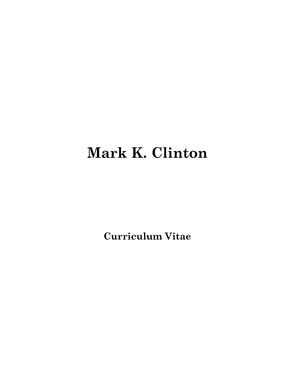# **Mark K. Clinton**

**Curriculum Vitae**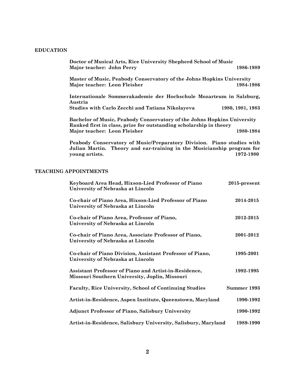## **EDUCATION**

| Doctor of Musical Arts, Rice University Shepherd School of Music<br>Major teacher: John Perry                                                        | 1986-1989        |
|------------------------------------------------------------------------------------------------------------------------------------------------------|------------------|
| <b>Master of Music, Peabody Conservatory of the Johns Hopkins University</b><br>Major teacher: Leon Fleisher                                         | 1984-1986        |
| Internationale Sommerakademie der Hochschule Mozarteum in Salzburg,<br>Austria                                                                       |                  |
| <b>Studies with Carlo Zecchi and Tatiana Nikolayeva</b>                                                                                              | 1980, 1981, 1983 |
| <b>Bachelor of Music, Peabody Conservatory of the Johns Hopkins University</b><br>Ranked first in class, prize for outstanding scholarship in theory |                  |
| Major teacher: Leon Fleisher                                                                                                                         | 1980-1984        |
|                                                                                                                                                      |                  |

**Peabody Conservatory of Music/Preparatory Division. Piano studies with Julian Martin. Theory and ear-training in the Musicianship program for young artists. 1972-1980**

## **TEACHING APPOINTMENTS**

| Keyboard Area Head, Hixson-Lied Professor of Piano<br>University of Nebraska at Lincoln                 | $2015$ -present |
|---------------------------------------------------------------------------------------------------------|-----------------|
| Co-chair of Piano Area, Hixson-Lied Professor of Piano<br>University of Nebraska at Lincoln             | 2014-2015       |
| Co-chair of Piano Area, Professor of Piano,<br>University of Nebraska at Lincoln                        | 2012-2015       |
| Co-chair of Piano Area, Associate Professor of Piano,<br>University of Nebraska at Lincoln              | 2001-2012       |
| Co-chair of Piano Division, Assistant Professor of Piano,<br>University of Nebraska at Lincoln          | 1995-2001       |
| Assistant Professor of Piano and Artist-in-Residence,<br>Missouri Southern University, Joplin, Missouri | 1992-1995       |
| <b>Faculty, Rice University, School of Continuing Studies</b>                                           | Summer 1993     |
| Artist-in-Residence, Aspen Institute, Queenstown, Maryland                                              | 1990-1992       |
| <b>Adjunct Professor of Piano, Salisbury University</b>                                                 | 1990-1992       |
| Artist-in-Residence, Salisbury University, Salisbury, Maryland                                          | 1989-1990       |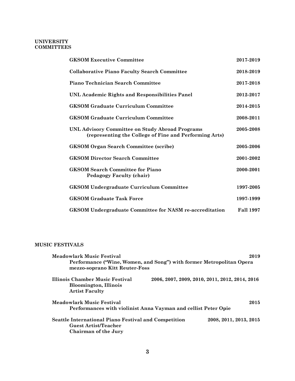## **UNIVERSITY COMMITTEES**

| <b>GKSOM Executive Committee</b>                                                                          | 2017-2019        |
|-----------------------------------------------------------------------------------------------------------|------------------|
| <b>Collaborative Piano Faculty Search Committee</b>                                                       | 2018-2019        |
| Piano Technician Search Committee                                                                         | 2017-2018        |
| UNL Academic Rights and Responsibilities Panel                                                            | 2012-2017        |
| <b>GKSOM Graduate Curriculum Committee</b>                                                                | 2014-2015        |
| <b>GKSOM Graduate Curriculum Committee</b>                                                                | 2008-2011        |
| UNL Advisory Committee on Study Abroad Programs<br>(representing the College of Fine and Performing Arts) | 2005-2008        |
| <b>GKSOM Organ Search Committee (scribe)</b>                                                              | 2005-2006        |
| <b>GKSOM Director Search Committee</b>                                                                    | 2001-2002        |
| <b>GKSOM Search Committee for Piano</b><br><b>Pedagogy Faculty (chair)</b>                                | 2000-2001        |
| <b>GKSOM Undergraduate Curriculum Committee</b>                                                           | 1997-2005        |
| <b>GKSOM Graduate Task Force</b>                                                                          | 1997-1999        |
| <b>GKSOM Undergraduate Committee for NASM re-accreditation</b>                                            | <b>Fall 1997</b> |

# **MUSIC FESTIVALS**

| <b>Meadowlark Music Festival</b>                                                                            |  | 2019                                           |  |
|-------------------------------------------------------------------------------------------------------------|--|------------------------------------------------|--|
| Performance ("Wine, Women, and Song") with former Metropolitan Opera<br>mezzo-soprano Kitt Reuter-Foss      |  |                                                |  |
| Illinois Chamber Music Festival<br><b>Bloomington, Illinois</b><br><b>Artist Faculty</b>                    |  | 2006, 2007, 2009, 2010, 2011, 2012, 2014, 2016 |  |
| Meadowlark Music Festival<br>Performances with violinist Anna Vayman and cellist Peter Opie                 |  | 2015                                           |  |
|                                                                                                             |  |                                                |  |
| <b>Seattle International Piano Festival and Competition</b><br>Guest Artist/Teacher<br>Chairman of the Jury |  | 2008, 2011, 2013, 2015                         |  |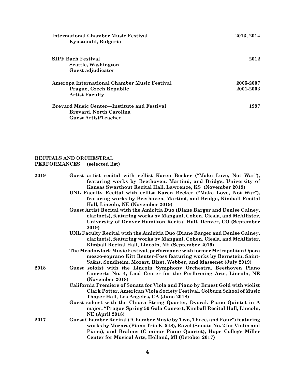| <b>International Chamber Music Festival</b><br>Kyustendil, Bulgaria | 2013, 2014 |
|---------------------------------------------------------------------|------------|
| <b>SIPF Bach Festival</b>                                           | 2012       |
| Seattle, Washington                                                 |            |
| Guest adjudicator                                                   |            |
| Ameropa International Chamber Music Festival                        | 2005-2007  |
| Prague, Czech Republic                                              | 2001-2003  |
| <b>Artist Faculty</b>                                               |            |
| <b>Brevard Music Center—Institute and Festival</b>                  | 1997       |
| Brevard, North Carolina                                             |            |
| <b>Guest Artist/Teacher</b>                                         |            |

# **RECITALS AND ORCHESTRAL PERFORMANCES (selected list)**

| 2019 | Guest artist recital with cellist Karen Becker ("Make Love, Not War"),<br>featuring works by Beethoven, Martinů, and Bridge, University of<br>Kansas Swarthout Recital Hall, Lawrence, KS (November 2019)<br>UNL Faculty Recital with cellist Karen Becker ("Make Love, Not War"),<br>featuring works by Beethoven, Martinů, and Bridge, Kimball Recital<br>Hall, Lincoln, NE (November 2019) |
|------|-----------------------------------------------------------------------------------------------------------------------------------------------------------------------------------------------------------------------------------------------------------------------------------------------------------------------------------------------------------------------------------------------|
|      | Guest Artist Recital with the Amicitia Duo (Diane Barger and Denise Gainey,<br>clarinets), featuring works by Mangani, Cohen, Ciesla, and McAllister,<br>University of Denver Hamilton Recital Hall, Denver, CO (September<br>2019)                                                                                                                                                           |
|      | UNL Faculty Recital with the Amicitia Duo (Diane Barger and Denise Gainey,<br>clarinets), featuring works by Mangani, Cohen, Ciesla, and McAllister,<br>Kimball Recital Hall, Lincoln, NE (September 2019)                                                                                                                                                                                    |
|      | The Meadowlark Music Festival, performance with former Metropolitan Opera<br>mezzo-soprano Kitt Reuter-Foss featuring works by Bernstein, Saint-<br>Saëns, Sondheim, Mozart, Bizet, Webber, and Massenet (July 2019)                                                                                                                                                                          |
| 2018 | Guest soloist with the Lincoln Symphony Orchestra, Beethoven Piano<br>Concerto No. 4, Lied Center for the Performing Arts, Lincoln, NE<br>(November 2018)                                                                                                                                                                                                                                     |
|      | California Premiere of Sonata for Viola and Piano by Ernest Gold with violist<br>Clark Potter, American Viola Society Festival, Colburn School of Music<br>Thayer Hall, Los Angeles, CA (June 2018)                                                                                                                                                                                           |
|      | Guest soloist with the Chiara String Quartet, Dvorak Piano Quintet in A<br>major, "Prague Spring 50 Gala Concert, Kimball Recital Hall, Lincoln,<br><b>NE</b> (April 2018)                                                                                                                                                                                                                    |
| 2017 | Guest Chamber Recital ("Chamber Music by Two, Three, and Four") featuring<br>works by Mozart (Piano Trio K. 548), Ravel (Sonata No. 2 for Violin and<br>Piano), and Brahms (C minor Piano Quartet), Hope College Miller<br>Center for Musical Arts, Holland, MI (October 2017)                                                                                                                |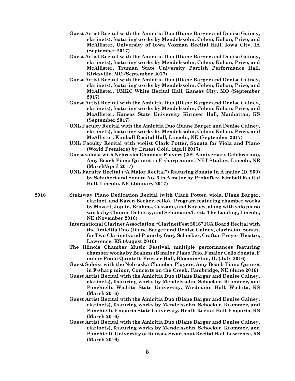- **Guest Artist Recital with the Amicitia Duo (Diane Barger and Denise Gainey, clarinets), featuring works by Mendelssohn, Cohen, Kohan, Price, and McAllister, University of Iowa Voxman Recital Hall, Iowa City, IA (September 2017)**
- **Guest Artist Recital with the Amicitia Duo (Diane Barger and Denise Gainey, clarinets), featuring works by Mendelssohn, Cohen, Kohan, Price, and McAllister, Truman State University Parrish Performance Hall, Kirksville, MO (September 2017)**
- **Guest Artist Recital with the Amicitia Duo (Diane Barger and Denise Gainey, clarinets), featuring works by Mendelssohn, Cohen, Kohan, Price, and McAllister, UMKC White Recital Hall, Kansas City, MO (September 2017)**
- **Guest Artist Recital with the Amicitia Duo (Diane Barger and Denise Gainey, clarinets), featuring works by Mendelssohn, Cohen, Kohan, Price, and McAllister, Kansas State University Kirmser Hall, Manhattan, KS (September 2017)**
- **UNL Faculty Recital with the Amicitia Duo (Diane Barger and Denise Gainey, clarinets), featuring works by Mendelssohn, Cohen, Kohan, Price, and McAllister, Kimball Recital Hall, Lincoln, NE (September 2017)**
- **UNL Faculty Recital with violist Clark Potter, Sonata for Viola and Piano (World Premiere) by Ernest Gold, (April 2017)**
- **Guest soloist with Nebraska Chamber Players (20th Anniversary Celebration), Amy Beach Piano Quintet in F-sharp minor, NET Studios, Lincoln, NE (March/April 2017)**
- **UNL Faculty Recital ("A Major Recital") featuring Sonata in A major (D. 959) by Schubert and Sonata No. 6 in A major by Prokofiev, Kimball Recital Hall, Lincoln, NE (January 2017)**
- **2016 Steinway Piano Dedication Recital (with Clark Potter, viola, Diane Barger, clarinet, and Karen Becker, cello). Program featuring chamber works by Mozart, Joplin, Brahms, Cassado, and Kovacs, along with solo piano works by Chopin, Debussy, and Schumann/Liszt. The Landing, Lincoln, NE (November 2016)**
	- **International Clarinet Association "ClarinetFest 2016" ICA Board Recital with the Amicitia Duo (Diane Barger and Denise Gainey, clarinets), Sonata for Two Clarinets and Piano by Gary Schocker, Crafton Preyer Theatre, Lawrence, KS (August 2016)**
	- **The Illinois Chamber Music Festival, multiple performances featuring chamber works by Brahms (B major Piano Trio, F major Cello Sonata, F minor Piano Quintet), Presser Hall, Bloomington, IL (July 2016)**
	- **Guest Soloist with the Nebraska Chamber Players, Amy Beach Piano Quintet in F-sharp minor, Concerts on the Creek, Cambridge, NE (June 2016)**
	- **Guest Artist Recital with the Amicitia Duo (Diane Barger and Denise Gainey, clarinets), featuring works by Mendelssohn, Schocker, Krommer, and Ponchielli, Wichita State University, Wiedmann Hall, Wichita, KS (March 2016)**
	- **Guest Artist Recital with the Amicitia Duo (Diane Barger and Denise Gainey, clarinets), featuring works by Mendelssohn, Schocker, Krommer, and Ponchielli, Emporia State University, Heath Recital Hall, Emporia, KS (March 2016)**
	- **Guest Artist Recital with the Amicitia Duo (Diane Barger and Denise Gainey, clarinets), featuring works by Mendelssohn, Schocker, Krommer, and Ponchielli, University of Kansas, Swarthout Recital Hall, Lawrence, KS (March 2016)**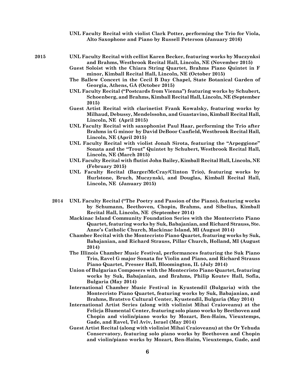|      | UNL Faculty Recital with violist Clark Potter, performing the Trio for Viola,<br>Alto Saxophone and Piano by Russell Peterson (January 2016)                                 |
|------|------------------------------------------------------------------------------------------------------------------------------------------------------------------------------|
| 2015 | UNL Faculty Recital with cellist Karen Becker, featuring works by Muczynksi<br>and Brahms, Westbrook Recital Hall, Lincoln, NE (November 2015)                               |
|      | Guest Soloist with the Chiara String Quartet, Brahms Piano Quintet in F<br>minor, Kimball Recital Hall, Lincoln, NE (October 2015)                                           |
|      | The Ballew Concert in the Cecil B Day Chapel, State Botanical Garden of<br>Georgia, Athens, GA (October 2015)                                                                |
|      | UNL Faculty Recital ("Postcards from Vienna") featuring works by Schubert,<br>Schoenberg, and Brahms, Kimball Recital Hall, Lincoln, NE (September<br>2015)                  |
|      | Guest Artist Recital with clarinetist Frank Kowalsky, featuring works by<br>Milhaud, Debussy, Mendelssohn, and Guastavino, Kimball Recital Hall,<br>Lincoln, NE (April 2015) |
|      | UNL Faculty Recital with saxophonist Paul Haar, performing the Trio after<br>Brahms in G minor by David DeBoor Canfield, Westbrook Recital Hall,<br>Lincoln, NE (April 2015) |
|      | UNL Faculty Recital with violist Jonah Sirota, featuring the "Arpeggione"<br>Sonata and the "Trout" Quintet by Schubert, Westbrook Recital Hall,<br>Lincoln, NE (March 2015) |
|      | UNL Faculty Recital with flutist John Bailey, Kimball Recital Hall, Lincoln, NE<br>(February 2015)                                                                           |
|      | UNL Faculty Recital (Barger/McCray/Clinton Trio), featuring works by<br>Hurlstone, Bruch, Muczynski, and Douglas, Kimball Recital Hall,<br>Lincoln, NE (January 2015)        |
|      |                                                                                                                                                                              |

- **2014 UNL Faculty Recital ("The Poetry and Passion of the Piano), featuring works by Schumann, Beethoven, Chopin, Brahms, and Sibelius, Kimball Recital Hall, Lincoln, NE (September 2014)**
	- **Mackinac Island Community Foundation Series with the Montecristo Piano Quartet, featuring works by Suk, Babajanian, and Richard Strauss, Ste. Anne's Catholic Church, Mackinac Island, MI (August 2014)**
	- **Chamber Recital with the Montecristo Piano Quartet, featuring works by Suk, Babajanian, and Richard Strauss, Pillar Church, Holland, MI (August 2014)**
	- **The Illinois Chamber Music Festival, performances featuring the Suk Piano Trio, Ravel G major Sonata for Violin and Piano, and Richard Strauss Piano Quartet, Presser Hall, Bloomington, IL (July 2014)**
	- **Union of Bulgarian Composers with the Montecristo Piano Quartet, featuring works by Suk, Babajanian, and Brahms, Philip Koutev Hall, Sofia, Bulgaria (May 2014)**
	- **International Chamber Music Festival in Kyustendil (Bulgaria) with the Montecristo Piano Quartet, featuring works by Suk, Babajanian, and Brahms, Bratstvo Cultural Center, Kyustendil, Bulgaria (May 2014)**
	- **International Artist Series (along with violinist Mihai Craioveanu) at the Felicja Blumental Center, featuring solo piano works by Beethoven and Chopin and violin/piano works by Mozart, Ben-Haim, Vieuxtemps, Gade, and Ravel, Tel Aviv, Israel (May 2014)**
	- **Guest Artist Recital (along with violinist Mihai Craioveanu) at the Or Yehuda Conservatory, featuring solo piano works by Beethoven and Chopin and violin/piano works by Mozart, Ben-Haim, Vieuxtemps, Gade, and**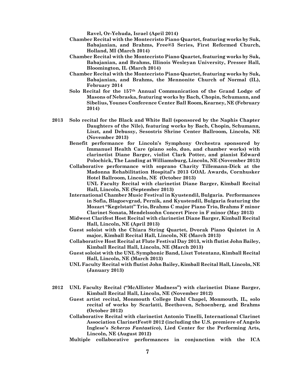**Ravel, Or-Yehuda, Israel (April 2014)**

- **Chamber Recital with the Montecristo Piano Quartet, featuring works by Suk, Babajanian, and Brahms, Free@3 Series, First Reformed Church, Holland, MI (March 2014)**
- **Chamber Recital with the Montecristo Piano Quartet, featuring works by Suk, Babajanian, and Brahms, Illinois Wesleyan University, Presser Hall, Bloomington, IL (March 2014)**
- **Chamber Recital with the Montecristo Piano Quartet, featuring works by Suk, Babajanian, and Brahms, the Mennonite Church of Normal (IL), February 2014**
- **Solo Recital for the 157th Annual Communication of the Grand Lodge of Masons of Nebraska, featuring works by Bach, Chopin, Schumann, and Sibelius, Younes Conference Center Ball Room, Kearney, NE (February 2014)**
- **2013 Solo recital for the Black and White Ball (sponsored by the Naphis Chapter Daughters of the Nile), featuring works by Bach, Chopin, Schumann, Liszt, and Debussy, Sesostris Shrine Center Ballroom, Lincoln, NE (November 2013)**
	- **Benefit performance for Lincoln's Symphony Orchestra sponsored by Immanuel Health Care (piano solo, duo, and chamber works) with clarinetist Diane Barger, violist Clark Potter, and pianist Edward Polochick, The Landing at Williamsburg, Lincoln, NE (November 2013)**
	- **Collaborative performance with soprano Charity Tillemann-Dick at the Madonna Rehabilitation Hospital's 2013 GOAL Awards, Cornhusker Hotel Ballroom, Lincoln, NE (October 2013) UNL Faculty Recital with clarinetist Diane Barger, Kimball Recital**

**Hall, Lincoln, NE (September 2013)**

- **International Chamber Music Festival in Kyustendil, Bulgaria. Performances in Sofia, Blagoevgrad, Pernik, and Kyustendil, Bulgaria featuring the Mozart "Kegelstatt" Trio, Brahms C major Piano Trio, Brahms F minor Clarinet Sonata, Mendelssohn Concert Piece in F minor (May 2013)**
- **Midwest Clarifest Host Recital with clarinetist Diane Barger, Kimball Recital Hall, Lincoln, NE (April 2013)**
- **Guest soloist with the Chiara String Quartet, Dvorak Piano Quintet in A major, Kimball Recital Hall, Lincoln, NE (March 2013)**
- **Collaborative Host Recital at Flute Festival Day 2013, with flutist John Bailey, Kimball Recital Hall, Lincoln, NE (March 2013)**
- **Guest soloist with the UNL Symphonic Band, Liszt Totentanz, Kimball Recital Hall, Lincoln, NE (March 2013)**
- **UNL Faculty Recital with flutist John Bailey, Kimball Recital Hall, Lincoln, NE (January 2013)**
- **2012 UNL Faculty Recital ("McAllister Madness") with clarinetist Diane Barger, Kimball Recital Hall, Lincoln, NE (November 2012)**
	- **Guest artist recital, Monmouth College Dahl Chapel, Monmouth, IL, solo recital of works by Scarlatti, Beethoven, Schoenberg, and Brahms (October 2012)**
	- **Collaborative Recital with clarinetist Antonio Tinelli, International Clarinet Association ClarinetFest® 2012 (including the U.S. premiere of Angelo Inglese's** *Scherzo Fantastico***), Lied Center for the Performing Arts, Lincoln, NE (August 2012)**
	- **Multiple collaborative performances in conjunction with the ICA**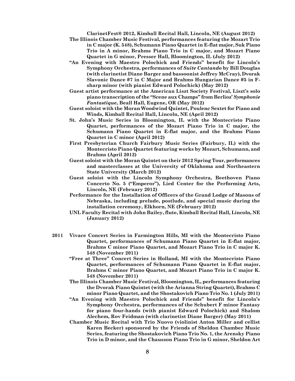**ClarinetFest® 2012, Kimball Recital Hall, Lincoln, NE (August 2012)**

- **The Illinois Chamber Music Festival, performances featuring the Mozart Trio in C major (K. 548), Schumann Piano Quartet in E-flat major, Suk Piano Trio in A minor, Brahms Piano Trio in C major, and Mozart Piano Quartet in G minor, Presser Hall, Bloomington, IL (July 2012)**
- **"An Evening with Maestro Polochick and Friends" benefit for Lincoln's Symphony Orchestra, performances of** *Suite Cantando* **by Bill Douglas (with clarinetist Diane Barger and bassoonist Jeffrey McCray), Dvorak Slavonic Dance #7 in C Major and Brahms Hungarian Dance #5 in Fsharp minor (with pianist Edward Polochick) (May 2012)**
- **Guest artist performance at the American Liszt Society Festival, Liszt's solo piano transcription of the "Scene aux Champs" from Berlioz'** *Symphonie Fantastique***, Beall Hall, Eugene, OR (May 2012)**
- **Guest soloist with the Moran Woodwind Quintet, Poulenc Sextet for Piano and Winds, Kimball Recital Hall, Lincoln, NE (April 2012)**
- **St. John's Music Series in Bloomington, IL with the Montecristo Piano Quartet, performances of the Mozart Piano Trio in C major, the Schumann Piano Quartet in E-flat major, and the Brahms Piano Quartet in C minor (April 2012)**
- **First Presbyterian Church Fairbury Music Series (Fairbury, IL) with the Montecristo Piano Quartet featuring works by Mozart, Schumann, and Brahms (April 2012)**
- **Guest soloist with the Moran Quintet on their 2012 Spring Tour, performances and masterclasses at the University of Oklahoma and Northeastern State University (March 2012)**
- **Guest soloist with the Lincoln Symphony Orchestra, Beethoven Piano Concerto No. 5 ("Emperor"), Lied Center for the Performing Arts, Lincoln, NE (February 2012)**
- **Performance for the Installation of Officers of the Grand Lodge of Masons of Nebraska, including prelude, postlude, and special music during the installation ceremony, Elkhorn, NE (February 2012)**
- **UNL Faculty Recital with John Bailey, flute, Kimball Recital Hall, Lincoln, NE (January 2012)**
- **2011 Vivace Concert Series in Farmington Hills, MI with the Montecristo Piano Quartet, performances of Schumann Piano Quartet in E-flat major, Brahms C minor Piano Quartet, and Mozart Piano Trio in C major K. 548 (November 2011)**
	- **"Free at Three" Concert Series in Holland, MI with the Montecristo Piano Quartet, performances of Schumann Piano Quartet in E-flat major, Brahms C minor Piano Quartet, and Mozart Piano Trio in C major K. 548 (November 2011)**
	- **The Illinois Chamber Music Festival, Bloomington, IL, performances featuring the Dvorak Piano Quintet (with the Arianna String Quartet), Brahms C minor Piano Quartet, and the Shostakovich Piano Trio No. 1 (July 2011)**
	- **"An Evening with Maestro Polochick and Friends" benefit for Lincoln's Symphony Orchestra, performances of the Schubert F minor Fantasy for piano four-hands (with pianist Edward Polochick) and Shalom Alechem, Rov Feidman (with clarinetist Diane Barger) (May 2011)**
	- **Chamber Music Recital with Trio Nuovo (violinist Anton Miller and cellist Karen Becker) sponsored by the Friends of Sheldon Chamber Music Series, featuring the Shostakovich Piano Trio No. 1, the Arensky Piano Trio in D minor, and the Chausson Piano Trio in G minor, Sheldon Art**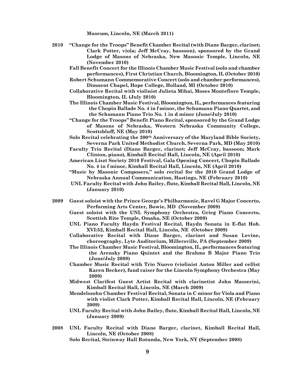**Museum, Lincoln, NE (March 2011)**

- **2010 "Change for the Troops" Benefit Chamber Recital (with Diane Barger, clarinet; Clark Potter, viola; Jeff McCray, bassoon), sponsored by the Grand Lodge of Masons of Nebraska, New Masonic Temple, Lincoln, NE (November 2010)**
	- **Fall Benefit Concert for the Illinois Chamber Music Festival (solo and chamber performances), First Christian Church, Bloomington, IL (October 2010)**
	- **Robert Schumann Commemorative Concert (solo and chamber performances), Dimnent Chapel, Hope College, Holland, MI (October 2010)**
	- **Collaborative Recital with violinist Julieta Mihai, Moses Montefiore Temple, Bloomington, IL (July 2010)**
	- **The Illinois Chamber Music Festival, Bloomington, IL, performances featuring the Chopin Ballade No. 4 in f minor, the Schumann Piano Quartet, and the Schumann Piano Trio No. 1 in d minor (June/July 2010)**
	- **"Change for the Troops" Benefit Piano Recital, sponsored by the Grand Lodge of Masons of Nebraska, Western Nebraska Community College, Scottsbluff, NE (May 2010)**
	- **Solo Recital celebrating the 200th Anniversary of the Maryland Bible Society, Severna Park United Methodist Church, Severna Park, MD (May 2010)**
	- **Faculty Trio Recital (Diane Barger, clarinet; Jeff McCray, bassoon; Mark Clinton, piano), Kimball Recital Hall, Lincoln, NE (April 2010)**
	- **American Liszt Society 2010 Festival, Gala Opening Concert, Chopin Ballade No. 4 in f minor, Kimball Recital Hall, Lincoln, NE (April 2010)**
	- **"Music by Masonic Composers," solo recital for the 2010 Grand Lodge of Nebraska Annual Communication, Hastings, NE (February 2010)**
	- **UNL Faculty Recital with John Bailey, flute, Kimball Recital Hall, Lincoln, NE (January 2010)**
- **2009 Guest soloist with the Prince George's Philharmonic, Ravel G Major Concerto, Performing Arts Center, Bowie, MD (November 2009)**
	- **Guest soloist with the UNL Symphony Orchestra, Grieg Piano Concerto, Scottish Rite Temple, Omaha, NE (October 2009)**
	- **UNL Piano Faculty Haydn Festival Recital, Haydn Sonata in E-flat Hob. XVI:52, Kimball Recital Hall, Lincoln, NE (October 2009)**
	- **Collaborative Recital with Diane Barger, clarinet and Susan Levine, choreography, Lyte Auditorium, Millersville, PA (September 2009)**
	- **The Illinois Chamber Music Festival, Bloomington, IL, performances featuring the Arensky Piano Quintet and the Brahms B Major Piano Trio (June/July 2009)**
	- **Chamber Music Recital with Trio Nuovo (violinist Anton Miller and cellist Karen Becker), fund raiser for the Lincoln Symphony Orchestra (May 2009)**
	- **Midwest Clarifest Guest Artist Recital with clarinetist John Masserini, Kimball Recital Hall, Lincoln, NE (March 2009)**
	- **Mendelssohn Chamber Festival Recital, Sonata in C minor for Viola and Piano with violist Clark Potter, Kimball Recital Hall, Lincoln, NE (February 2009)**
	- **UNL Faculty Recital with John Bailey, flute, Kimball Recital Hall, Lincoln, NE (January 2009)**
- **2008 UNL Faculty Recital with Diane Barger, clarinet, Kimball Recital Hall, Lincoln, NE (October 2008)**
	- **Solo Recital, Steinway Hall Rotunda, New York, NY (September 2008)**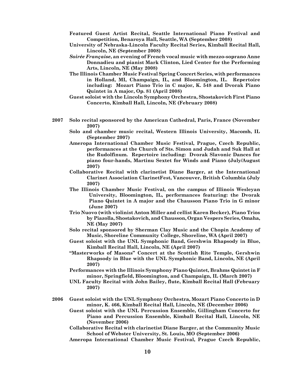- **Featured Guest Artist Recital, Seattle International Piano Festival and Competition, Benaroya Hall, Seattle, WA (September 2008)**
- **University of Nebraska-Lincoln Faculty Recital Series, Kimball Recital Hall, Lincoln, NE (September 2008)**
- *Soirée Française***, an evening of French vocal music with mezzo-soprano Anne Donnadieu and pianist Mark Clinton, Lied Center for the Performing Arts, Lincoln, NE (May 2008)**
- **The Illinois Chamber Music Festival Spring Concert Series, with performances in Holland, MI, Champaign, IL, and Bloomington, IL. Repertoire including: Mozart Piano Trio in C major, K. 548 and Dvorak Piano Quintet in A major, Op. 81 (April 2008)**
- **Guest soloist with the Lincoln Symphony Orchestra, Shostakovich First Piano Concerto, Kimball Hall, Lincoln, NE (February 2008)**
- **2007 Solo recital sponsored by the American Cathedral, Paris, France (November 2007)**
	- **Solo and chamber music recital, Western Illinois University, Macomb, IL (September 2007)**
	- **Ameropa International Chamber Music Festival, Prague, Czech Republic, performances at the Church of Sts. Simon and Judah and Suk Hall at the Rudolfinum. Repertoire including: Dvorak Slavonic Dances for piano four-hands, Martinu Sextet for Winds and Piano (July/August 2007)**
	- **Collaborative Recital with clarinetist Diane Barger, at the International Clarinet Association ClarinetFest, Vancouver, British Columbia (July 2007)**
	- **The Illinois Chamber Music Festival, on the campus of Illinois Wesleyan University, Bloomington, IL, performances featuring: the Dvorak Piano Quintet in A major and the Chausson Piano Trio in G minor (June 2007)**
	- **Trio Nuovo (with violinist Anton Miller and cellist Karen Becker), Piano Trios by Piazolla, Shostakovich, and Chausson, Organ Vespers Series, Omaha, NE (May 2007)**
	- **Solo recital sponsored by Sherman Clay Music and the Chopin Academy of Music, Shoreline Community College, Shoreline, WA (April 2007)**
	- **Guest soloist with the UNL Symphonic Band, Gershwin Rhapsody in Blue, Kimball Recital Hall, Lincoln, NE (April 2007)**
	- **"Masterworks of Masons" Concert at the Scottish Rite Temple, Gershwin Rhapsody in Blue with the UNL Symphonic Band, Lincoln, NE (April 2007)**
	- **Performances with the Illinois Symphony Piano Quintet, Brahms Quintet in F minor, Springfield, Bloomington, and Champaign, IL (March 2007)**
	- **UNL Faculty Recital with John Bailey, flute, Kimball Recital Hall (February 2007)**
- **2006 Guest soloist with the UNL Symphony Orchestra, Mozart Piano Concerto in D minor, K. 466, Kimball Recital Hall, Lincoln, NE (December 2006)**
	- **Guest soloist with the UNL Percussion Ensemble, Gillingham Concerto for Piano and Percussion Ensemble, Kimball Recital Hall, Lincoln, NE (November 2006)**
	- **Collaborative Recital with clarinetist Diane Barger, at the Community Music School of Webster University, St. Louis, MO (September 2006)**
	- **Ameropa International Chamber Music Festival, Prague Czech Republic,**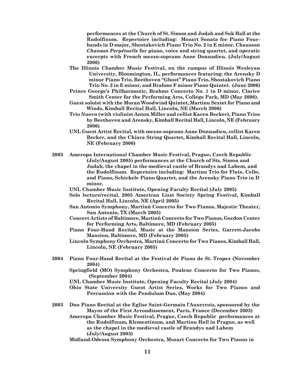**performances at the Church of St. Simon and Judah and Suk Hall at the Rudolfinum. Repertoire including: Mozart Sonata for Piano Fourhands in D major, Shostakovich Piano Trio No. 2 in E minor, Chausson**  *Chanson Perpétuelle* **for piano, voice and string quartet, and operatic excerpts with French mezzo-soprano Anne Donnadieu. (July/August 2006)**

- **The Illinois Chamber Music Festival, on the campus of Illinois Wesleyan University, Bloomington, IL, performances featuring: the Arensky D minor Piano Trio, Beethoven "Ghost" Piano Trio, Shostakovich Piano Trio No. 2 in E minor, and Brahms F minor Piano Quintet. (June 2006)**
- **Prince George's Philharmonic, Brahms Concerto No. 1 in D minor, Clarice Smith Center for the Performing Arts, College Park, MD (May 2006).**
- **Guest soloist with the Moran Woodwind Quintet, Martinu Sextet for Piano and Winds, Kimball Recital Hall, Lincoln, NE (March 2006)**
- **Trio Nuovo (with violinist Anton Miller and cellist Karen Becker), Piano Trios by Beethoven and Arensky, Kimball Recital Hall, Lincoln, NE (February 2006)**
- **UNL Guest Artist Recital, with mezzo-soprano Anne Donnadieu, cellist Karen Becker, and the Chiara String Quartet, Kimball Recital Hall, Lincoln, NE (February 2006)**
- **2005 Ameropa International Chamber Music Festival, Prague, Czech Republic (July/August 2005) performances at the Church of Sts. Simon and Judah, the chapel in the medieval castle of Brandys nad Labem, and the Rudolfinum. Repertoire including: Martinu Trio for Flute, Cello, and Piano, Schickele Piano Quartet, and the Arensky Piano Trio in D minor.** 
	- **UNL Chamber Music Institute, Opening Faculty Recital (July 2005)**
	- **Solo lecture/recital, 2005 American Liszt Society Spring Festival, Kimball Recital Hall, Lincoln, NE (April 2005)**
	- **San Antonio Symphony, Martinů Concerto for Two Pianos, Majestic Theater, San Antonio, TX (March 2005)**
	- **Concert Artists of Baltimore, Martinů Concerto for Two Pianos, Gordon Center for Performing Arts, Baltimore, MD (February 2005)**
	- **Piano Four-Hand Recital, Music at the Mansion Series, Garrett-Jacobs Mansion, Baltimore, MD (February 2005)**
	- **Lincoln Symphony Orchestra, Martinů Concerto for Two Pianos, Kimball Hall, Lincoln, NE (February 2005)**
- **2004 Piano Four-Hand Recital at the Festival de Piano de St. Tropez (November 2004)**
	- **Springfield (MO) Symphony Orchestra, Poulenc Concerto for Two Pianos, (September 2004)**
	- **UNL Chamber Music Institute, Opening Faculty Recital (July 2004)**
	- **Ohio State University Guest Artist Series, Works for Two Pianos and Percussion with the Pendulum Duo, (May 2004)**
- **2003 Duo Piano Recital at the Eglise Saint-Germain l'Auxerrois, sponsored by the Mayor of the First Arrondissement, Paris, France (December 2003)**
	- **Ameropa Chamber Music Festival, Prague, Czech Republic performances at the Rudolfinum, Klementinum, and Martinu Hall in Prague, as well as the chapel in the medieval castle of Brandys nad Labem (July/August 2003)**
	- **Midland-Odessa Symphony Orchestra, Mozart Concerto for Two Pianos in**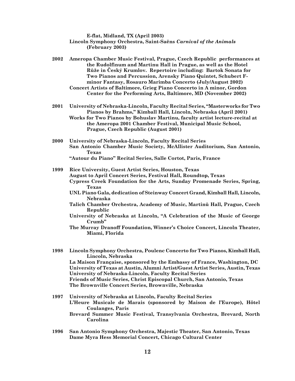**E-flat, Midland, TX (April 2003)**

**Lincoln Symphony Orchestra, Saint-Saëns** *Carnival of the Animals* **(February 2003)**

**2002 Ameropa Chamber Music Festival, Prague, Czech Republic performances at the Rudolfinum and Martinu Hall in Prague, as well as the Hotel Růže in Český Krumlov. Repertoire including: Bartok Sonata for Two Pianos and Percussion, Arensky Piano Quintet, Schubert Fminor Fantasy, Rosauro Marimba Concerto (July/August 2002) Concert Artists of Baltimore, Grieg Piano Concerto in A minor, Gordon Center for the Performing Arts, Baltimore, MD (November 2002)**

**2001 University of Nebraska-Lincoln, Faculty Recital Series, "Masterworks for Two Pianos by Brahms," Kimball Hall, Lincoln, Nebraska (April 2001) Works for Two Pianos by Bohuslav Martinu, faculty artist lecture-recital at the Ameropa 2001 Chamber Festival, Municipal Music School, Prague, Czech Republic (August 2001)**

- **2000 University of Nebraska-Lincoln, Faculty Recital Series San Antonio Chamber Music Society, McAllister Auditorium, San Antonio, Texas "Autour du Piano" Recital Series, Salle Cortot, Paris, France**
- **1999 Rice University, Guest Artist Series, Houston, Texas August to April Concert Series, Festival Hall, Roundtop, Texas Cypress Creek Foundation for the Arts, Sunday Promenade Series, Spring, Texas**
	- **UNL Piano Gala, dedication of Steinway Concert Grand, Kimball Hall, Lincoln, Nebraska**
	- **Talich Chamber Orchestra, Academy of Music, Martinů Hall, Prague, Czech Republic**
	- **University of Nebraska at Lincoln, "A Celebration of the Music of George Crumb"**
	- **The Murray Dranoff Foundation, Winner's Choice Concert, Lincoln Theater, Miami, Florida**

**1998 Lincoln Symphony Orchestra, Poulenc Concerto for Two Pianos, Kimball Hall, Lincoln, Nebraska La Maison Française, sponsored by the Embassy of France, Washington, DC University of Texas at Austin, Alumni Artist/Guest Artist Series, Austin, Texas University of Nebraska-Lincoln, Faculty Recital Series Friends of Music Series, Christ Episcopal Church, San Antonio, Texas The Brownville Concert Series, Brownville, Nebraska**

- **1997 University of Nebraska at Lincoln, Faculty Recital Series L'Heure Musicale de Marais (sponsored by Maison de l'Europe), Hôtel Coulanges, Paris Brevard Summer Music Festival, Transylvania Orchestra, Brevard, North Carolina**
- **1996 San Antonio Symphony Orchestra, Majestic Theater, San Antonio, Texas Dame Myra Hess Memorial Concert, Chicago Cultural Center**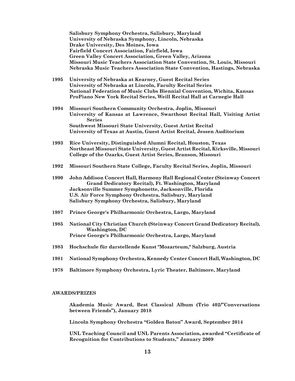**Salisbury Symphony Orchestra, Salisbury, Maryland University of Nebraska Symphony, Lincoln, Nebraska Drake University, Des Moines, Iowa Fairfield Concert Association, Fairfield, Iowa Green Valley Concert Association, Green Valley, Arizona Missouri Music Teachers Association State Convention, St. Louis, Missouri Nebraska Music Teachers Association State Convention, Hastings, Nebraska**

- **1995 University of Nebraska at Kearney, Guest Recital Series University of Nebraska at Lincoln, Faculty Recital Series National Federation of Music Clubs Biennial Convention, Wichita, Kansas ProPiano New York Recital Series, Weill Recital Hall at Carnegie Hall**
- **1994 Missouri Southern Community Orchestra, Joplin, Missouri University of Kansas at Lawrence, Swarthout Recital Hall, Visiting Artist Series Southwest Missouri State University, Guest Artist Recital University of Texas at Austin, Guest Artist Recital, Jessen Auditorium**
- **1993 Rice University, Distinguished Alumni Recital, Houston, Texas Northeast Missouri State University, Guest Artist Recital, Kirksville, Missouri College of the Ozarks, Guest Artist Series, Branson, Missouri**
- **1992 Missouri Southern State College, Faculty Recital Series, Joplin, Missouri**
- **1990 John Addison Concert Hall, Harmony Hall Regional Center (Steinway Concert Grand Dedicatory Recital), Ft. Washington, Maryland Jacksonville Summer Symphonette, Jacksonville, Florida U.S. Air Force Symphony Orchestra, Salisbury, Maryland Salisbury Symphony Orchestra, Salisbury, Maryland**
- **1987 Prince George's Philharmonic Orchestra, Largo, Maryland**
- **1985 National City Christian Church (Steinway Concert Grand Dedicatory Recital), Washington, DC Prince George's Philharmonic Orchestra, Largo, Maryland**
- **1983 Hochschule für darstellende Kunst "Mozarteum," Salzburg, Austria**
- **1981 National Symphony Orchestra, Kennedy Center Concert Hall, Washington, DC**
- **1978 Baltimore Symphony Orchestra, Lyric Theater, Baltimore, Maryland**

### **AWARDS/PRIZES**

**Akademia Music Award, Best Classical Album (Trio 402/"Conversations between Friends"), January 2018**

**Lincoln Symphony Orchestra "Golden Baton" Award, September 2014**

**UNL Teaching Council and UNL Parents Association, awarded "Certificate of Recognition for Contributions to Students," January 2009**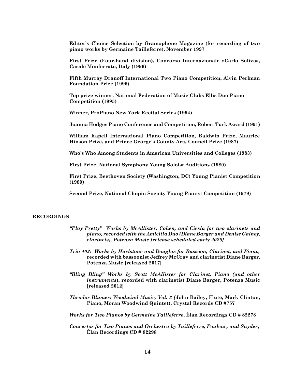**Editor's Choice Selection by Gramophone Magazine (for recording of two piano works by Germaine Tailleferre), November 1997**

**First Prize (Four-hand division), Concorso Internazionale «Carlo Soliva», Casale Monferrato, Italy (1996)**

**Fifth Murray Dranoff International Two Piano Competition, Alvin Perlman Foundation Prize (1996)**

**Top prize winner, National Federation of Music Clubs Ellis Duo Piano Competition (1995)**

**Winner, ProPiano New York Recital Series (1994)**

**Joanna Hodges Piano Conference and Competition, Robert Turk Award (1991)**

**William Kapell International Piano Competition, Baldwin Prize, Maurice Hinson Prize, and Prince George's County Arts Council Prize (1987)**

**Who's Who Among Students in American Universities and Colleges (1983)**

**First Prize, National Symphony Young Soloist Auditions (1980)**

**First Prize, Beethoven Society (Washington, DC) Young Pianist Competition (1980)**

**Second Prize, National Chopin Society Young Pianist Competition (1979)**

### **RECORDINGS**

- *"Play Pretty" Works by McAllister, Cohen, and Ciesla for two clarinets and piano, recorded with the Amicitia Duo (Diane Barger and Denise Gainey, clarinets), Potenza Music [release scheduled early 2020]*
- *Trio 402: Works by Hurlstone and Douglas for Bassoon, Clarinet, and Piano,*  **recorded with bassoonist Jeffrey McCray and clarinetist Diane Barger, Potenza Music [released 2017]**
- *"Bling Bling" Works by Scott McAllister for Clarinet, Piano (and other instruments***), recorded with clarinetist Diane Barger, Potenza Music [released 2012]**
- *Theodor Blumer: Woodwind Music, Vol. 3 (***John Bailey, Flute, Mark Clinton, Piano, Moran Woodwind Quintet), Crystal Records CD #757**
- *Works for Two Pianos by Germaine Tailleferre***, Élan Recordings CD # 82278**
- *Concertos for Two Pianos and Orchestra by Tailleferre, Poulenc, and Snyder***, Élan Recordings CD # 82298**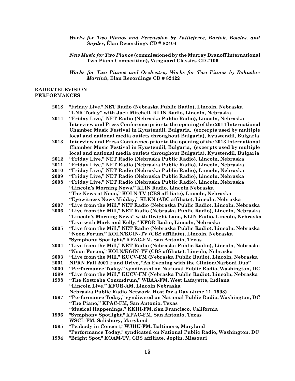*Works for Two Pianos and Percussion by Tailleferre, Bartok, Bowles, and Snyder***, Élan Recordings CD # 82404**

*New Music for Two Pianos* **(commissioned by the Murray Dranoff International Two Piano Competition), Vanguard Classics CD #106**

*Works for Two Pianos and Orchestra, Works for Two Pianos by Bohuslav Martinů***, Élan Recordings CD # 82422**

## **RADIO/TELEVISION PERFORMANCES**

- **2018 "Friday Live," NET Radio (Nebraska Public Radio), Lincoln, Nebraska "LNK Today" with Jack Mitchell, KLIN Radio, Lincoln, Nebraska**
- **2014 "Friday Live," NET Radio (Nebraska Public Radio), Lincoln, Nebraska Interview and Press Conference prior to the opening of the 2014 International Chamber Music Festival in Kyustendil, Bulgaria, (excerpts used by multiple local and national media outlets throughout Bulgaria), Kyustendil, Bulgaria**
- **2013 Interview and Press Conference prior to the opening of the 2013 International Chamber Music Festival in Kyustendil, Bulgaria, (excerpts used by multiple local and national media outlets throughout Bulgaria), Kyustendil, Bulgaria**
- **2012 "Friday Live," NET Radio (Nebraska Public Radio), Lincoln, Nebraska**
- **2011 "Friday Live," NET Radio (Nebraska Public Radio), Lincoln, Nebraska**
- **2010 "Friday Live," NET Radio (Nebraska Public Radio), Lincoln, Nebraska**
- **2009 "Friday Live," NET Radio (Nebraska Public Radio), Lincoln, Nebraska**
- **2008 "Friday Live," NET Radio (Nebraska Public Radio), Lincoln, Nebraska "Lincoln's Morning News," KLIN Radio, Lincoln Nebraska "The News at Noon," KOLN-TV (CBS affiliate), Lincoln, Nebraska "Eyewitness News Midday," KLKN (ABC affiliate), Lincoln, Nebraska**
- **2007 "Live from the Mill," NET Radio (Nebraska Public Radio), Lincoln, Nebraska**
- **2006 "Live from the Mill," NET Radio (Nebraska Public Radio), Lincoln, Nebraska "Lincoln's Morning News" with Dwight Lane, KLIN Radio, Lincoln, Nebraska "Live with Mark and Kelly," KFOR Radio, Lincoln, Nebraska**
- **2005 "Live from the Mill," NET Radio (Nebraska Public Radio), Lincoln, Nebraska "Noon Forum," KOLN/KGIN-TV (CBS affiliate), Lincoln, Nebraska "Symphony Spotlight," KPAC-FM, San Antonio, Texas**
- **2004 "Live from the Mill," NET Radio (Nebraska Public Radio), Lincoln, Nebraska "Noon Forum," KOLN/KGIN-TV (CBS affiliate), Lincoln, Nebraska**
- **2003 "Live from the Mill," KUCV-FM (Nebraska Public Radio), Lincoln, Nebraska**
- **2001 NPRN Fall 2001 Fund Drive, "An Evening with the Clinton/Narboni Duo"**
- **2000 "Performance Today," syndicated on National Public Radio, Washington, DC**
- **1999 "Live from the Mill," KUCV-FM (Nebraska Public Radio), Lincoln, Nebraska**
- **1998 "The Kostraba Conundrum," WBAA-FM, West Lafayette, Indiana "Lincoln Live," KFOR-AM, Lincoln Nebraska Nebraska Public Radio Network, Host for a Day (June 11, 1998)**
- **1997 "Performance Today," syndicated on National Public Radio, Washington, DC "The Piano," KPAC-FM, San Antonio, Texas "Musical Happenings," KKHI-FM, San Francisco, California**
- **1996 "Symphony Spotlight," KPAC-FM, San Antonio, Texas**
	- **WSCL-FM, Salisbury, Maryland**
- **1995 "Peabody in Concert," WJHU-FM, Baltimore, Maryland "Performance Today," syndicated on National Public Radio, Washington, DC**
- **1994 "Bright Spot," KOAM-TV, CBS affiliate, Joplin, Missouri**